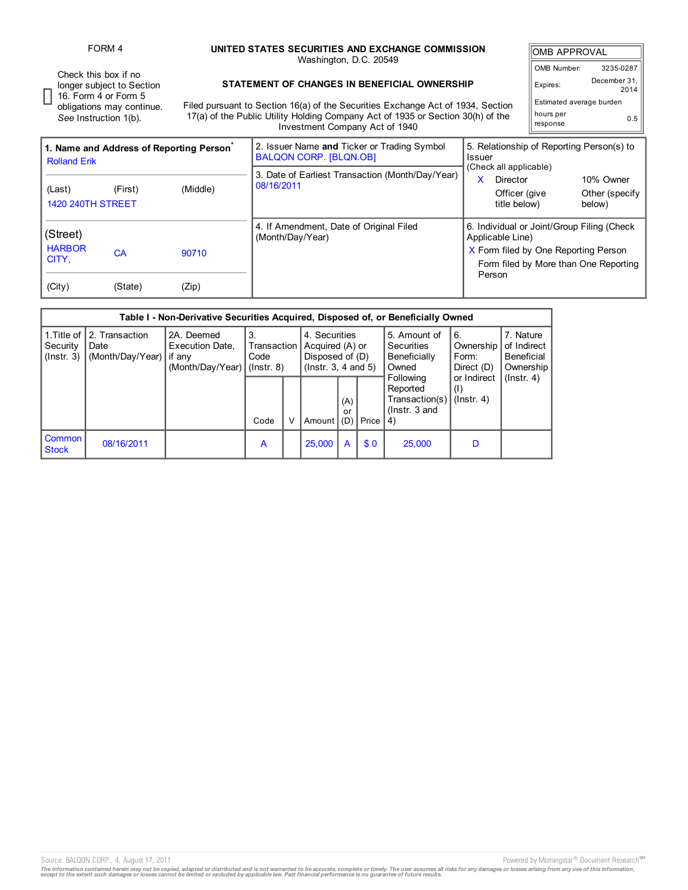FORM 4 **UNITED STATES SECURITIES AND EXCHANGE COMMISSION**

| FURM 4                                                                                                                          |                                                                                                                                                                                                                    | UNITED STATES SECURITIES AND EXCHANGE COMMISSION<br>Washington, D.C. 20549 |                                           |                                        |  |  |  |  |
|---------------------------------------------------------------------------------------------------------------------------------|--------------------------------------------------------------------------------------------------------------------------------------------------------------------------------------------------------------------|----------------------------------------------------------------------------|-------------------------------------------|----------------------------------------|--|--|--|--|
| Check this box if no<br>Ionger subject to Section<br>16. Form 4 or Form 5<br>obligations may continue.<br>See Instruction 1(b). | STATEMENT OF CHANGES IN BENEFICIAL OWNERSHIP<br>Filed pursuant to Section 16(a) of the Securities Exchange Act of 1934, Section<br>17(a) of the Public Utility Holding Company Act of 1935 or Section 30(h) of the |                                                                            |                                           |                                        |  |  |  |  |
| 1. Name and Address of Reporting Person <sup>®</sup>                                                                            | Investment Company Act of 1940<br>2. Issuer Name and Ticker or Trading Symbol<br><b>BALQON CORP. [BLQN.OB]</b>                                                                                                     | Issuer                                                                     | 5. Relationship of Reporting Person(s) to |                                        |  |  |  |  |
| <b>Rolland Erik</b><br>(Middle)<br>(Last)<br>(First)<br><b>1420 240TH STREET</b>                                                | 3. Date of Earliest Transaction (Month/Day/Year)<br>08/16/2011                                                                                                                                                     | (Check all applicable)<br>Director<br>Officer (give<br>title below)        |                                           | 10% Owner<br>Other (specify)<br>below) |  |  |  |  |
| (Street)                                                                                                                        | 4. If Amendment, Date of Original Filed<br>(Month/Dav/Year)                                                                                                                                                        | 6. Individual or Joint/Group Filing (Check<br>Applicable Line)             |                                           |                                        |  |  |  |  |

5. Amount of **Securities** Beneficially Owned Following

6. Ownership Form: Direct (D) or Indirect (I) (Instr. 4)

4)

Price

CA 90710

2A. Deemed Execution Date,

(Month/Day/Year)

if any

(City) (State) (Zip)

2. Transaction Date

(Month/Day/Year)

(Street) HARBOR CITY,

1.Title of **Security**  $($ Instr.  $3)$ 

**Common Stock** 

Reported Transaction(s) (Instr. 3 and (A)

Code  $\vert \vee \vert$  Amount

08/16/2011 **A A 25,000 A \$ 0 25,000 D** 

**Table I - Non-Derivative Securities Acquired, Disposed of, or Beneficially Owned**

4. Securities Acquired (A) or Disposed of (D) (Instr. 3, 4 and 5)

or<br>(D)

3.

Transaction Code (Instr. 8)

Source: BALQON CORP., 4, August 17, 2011 **Powered by Morningstar® Document Research** in Powered by Morningstar® Document Research in

X Form filed by One Reporting Person Form filed by More than One Reporting

> 7. Nature of Indirect Beneficial **Ownership** (Instr. 4)

Person

The information contained herein may not be copied, adapted or distributed and is not warranted to be accurate, complete or timely. The user assumes all risks for any damages or losses arising from any use of this informat